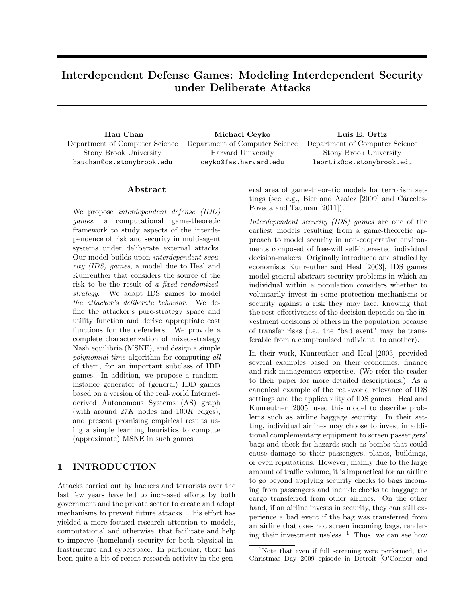# Interdependent Defense Games: Modeling Interdependent Security under Deliberate Attacks

Hau Chan Department of Computer Science Stony Brook University hauchan@cs.stonybrook.edu

Michael Ceyko Department of Computer Science Harvard University ceyko@fas.harvard.edu

Luis E. Ortiz Department of Computer Science Stony Brook University leortiz@cs.stonybrook.edu

### Abstract

We propose interdependent defense (IDD) games, a computational game-theoretic framework to study aspects of the interdependence of risk and security in multi-agent systems under deliberate external attacks. Our model builds upon interdependent security (IDS) games, a model due to Heal and Kunreuther that considers the source of the risk to be the result of a fixed randomizedstrategy. We adapt IDS games to model the attacker's deliberate behavior. We define the attacker's pure-strategy space and utility function and derive appropriate cost functions for the defenders. We provide a complete characterization of mixed-strategy Nash equilibria (MSNE), and design a simple polynomial-time algorithm for computing all of them, for an important subclass of IDD games. In addition, we propose a randominstance generator of (general) IDD games based on a version of the real-world Internetderived Autonomous Systems (AS) graph (with around  $27K$  nodes and  $100K$  edges), and present promising empirical results using a simple learning heuristics to compute (approximate) MSNE in such games.

# 1 INTRODUCTION

Attacks carried out by hackers and terrorists over the last few years have led to increased efforts by both government and the private sector to create and adopt mechanisms to prevent future attacks. This effort has yielded a more focused research attention to models, computational and otherwise, that facilitate and help to improve (homeland) security for both physical infrastructure and cyberspace. In particular, there has been quite a bit of recent research activity in the general area of game-theoretic models for terrorism settings (see, e.g., Bier and Azaiez  $[2009]$  and Cárceles-Poveda and Tauman [2011]).

Interdependent security (IDS) games are one of the earliest models resulting from a game-theoretic approach to model security in non-cooperative environments composed of free-will self-interested individual decision-makers. Originally introduced and studied by economists Kunreuther and Heal [2003], IDS games model general abstract security problems in which an individual within a population considers whether to voluntarily invest in some protection mechanisms or security against a risk they may face, knowing that the cost-effectiveness of the decision depends on the investment decisions of others in the population because of transfer risks (i.e., the "bad event" may be transferable from a compromised individual to another).

In their work, Kunreuther and Heal [2003] provided several examples based on their economics, finance and risk management expertise. (We refer the reader to their paper for more detailed descriptions.) As a canonical example of the real-world relevance of IDS settings and the applicability of IDS games, Heal and Kunreuther [2005] used this model to describe problems such as airline baggage security. In their setting, individual airlines may choose to invest in additional complementary equipment to screen passengers' bags and check for hazards such as bombs that could cause damage to their passengers, planes, buildings, or even reputations. However, mainly due to the large amount of traffic volume, it is impractical for an airline to go beyond applying security checks to bags incoming from passengers and include checks to baggage or cargo transferred from other airlines. On the other hand, if an airline invests in security, they can still experience a bad event if the bag was transferred from an airline that does not screen incoming bags, rendering their investment useless.  $\frac{1}{1}$  Thus, we can see how

<sup>&</sup>lt;sup>1</sup>Note that even if full screening were performed, the Christmas Day 2009 episode in Detroit [O'Connor and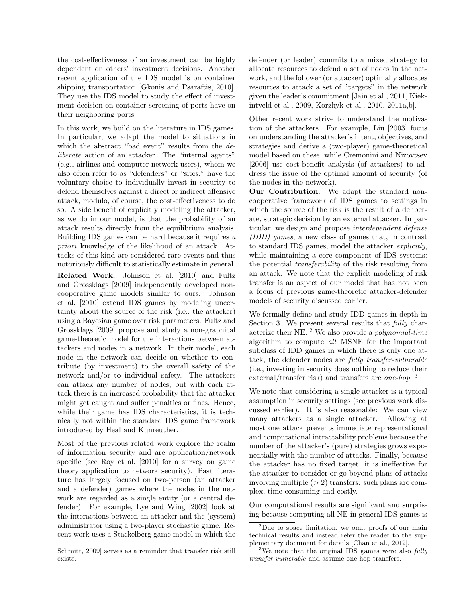the cost-effectiveness of an investment can be highly dependent on others' investment decisions. Another recent application of the IDS model is on container shipping transportation [Gkonis and Psaraftis, 2010]. They use the IDS model to study the effect of investment decision on container screening of ports have on their neighboring ports.

In this work, we build on the literature in IDS games. In particular, we adapt the model to situations in which the abstract "bad event" results from the deliberate action of an attacker. The "internal agents" (e.g., airlines and computer network users), whom we also often refer to as "defenders" or "sites," have the voluntary choice to individually invest in security to defend themselves against a direct or indirect offensive attack, modulo, of course, the cost-effectiveness to do so. A side benefit of explicitly modeling the attacker, as we do in our model, is that the probability of an attack results directly from the equilibrium analysis. Building IDS games can be hard because it requires a priori knowledge of the likelihood of an attack. Attacks of this kind are considered rare events and thus notoriously difficult to statistically estimate in general.

Related Work. Johnson et al. [2010] and Fultz and Grossklags [2009] independently developed noncooperative game models similar to ours. Johnson et al. [2010] extend IDS games by modeling uncertainty about the source of the risk (i.e., the attacker) using a Bayesian game over risk parameters. Fultz and Grossklags [2009] propose and study a non-graphical game-theoretic model for the interactions between attackers and nodes in a network. In their model, each node in the network can decide on whether to contribute (by investment) to the overall safety of the network and/or to individual safety. The attackers can attack any number of nodes, but with each attack there is an increased probability that the attacker might get caught and suffer penalties or fines. Hence, while their game has IDS characteristics, it is technically not within the standard IDS game framework introduced by Heal and Kunreuther.

Most of the previous related work explore the realm of information security and are application/network specific (see Roy et al. [2010] for a survey on game theory application to network security). Past literature has largely focused on two-person (an attacker and a defender) games where the nodes in the network are regarded as a single entity (or a central defender). For example, Lye and Wing [2002] look at the interactions between an attacker and the (system) administrator using a two-player stochastic game. Recent work uses a Stackelberg game model in which the

defender (or leader) commits to a mixed strategy to allocate resources to defend a set of nodes in the network, and the follower (or attacker) optimally allocates resources to attack a set of "targets" in the network given the leader's commitment [Jain et al., 2011, Kiekintveld et al., 2009, Korzhyk et al., 2010, 2011a,b].

Other recent work strive to understand the motivation of the attackers. For example, Liu [2003] focus on understanding the attacker's intent, objectives, and strategies and derive a (two-player) game-theoretical model based on these, while Cremonini and Nizovtsev [2006] use cost-benefit analysis (of attackers) to address the issue of the optimal amount of security (of the nodes in the network).

Our Contribution. We adapt the standard noncooperative framework of IDS games to settings in which the source of the risk is the result of a deliberate, strategic decision by an external attacker. In particular, we design and propose interdependent defense (IDD) games, a new class of games that, in contrast to standard IDS games, model the attacker explicitly, while maintaining a core component of IDS systems: the potential transferability of the risk resulting from an attack. We note that the explicit modeling of risk transfer is an aspect of our model that has not been a focus of previous game-theoretic attacker-defender models of security discussed earlier.

We formally define and study IDD games in depth in Section 3. We present several results that fully characterize their NE.  $^2$  We also provide a *polynomial-time* algorithm to compute all MSNE for the important subclass of IDD games in which there is only one attack, the defender nodes are fully transfer-vulnerable (i.e., investing in security does nothing to reduce their external/transfer risk) and transfers are *one-hop*.<sup>3</sup>

We note that considering a single attacker is a typical assumption in security settings (see previous work discussed earlier). It is also reasonable: We can view many attackers as a single attacker. Allowing at most one attack prevents immediate representational and computational intractability problems because the number of the attacker's (pure) strategies grows exponentially with the number of attacks. Finally, because the attacker has no fixed target, it is ineffective for the attacker to consider or go beyond plans of attacks involving multiple  $(> 2)$  transfers: such plans are complex, time consuming and costly.

Our computational results are significant and surprising because computing all NE in general IDS games is

Schmitt, 2009] serves as a reminder that transfer risk still exists.

<sup>2</sup>Due to space limitation, we omit proofs of our main technical results and instead refer the reader to the supplementary document for details [Chan et al., 2012].

<sup>&</sup>lt;sup>3</sup>We note that the original IDS games were also fully transfer-vulnerable and assume one-hop transfers.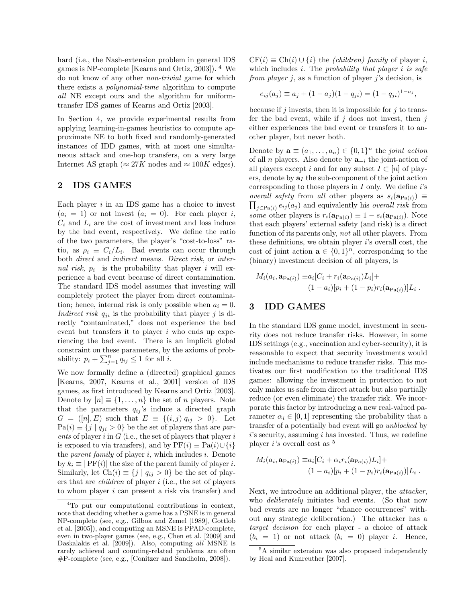hard (i.e., the Nash-extension problem in general IDS games is NP-complete [Kearns and Ortiz, 2003]). <sup>4</sup> We do not know of any other non-trivial game for which there exists a polynomial-time algorithm to compute all NE except ours and the algorithm for uniformtransfer IDS games of Kearns and Ortiz [2003].

In Section 4, we provide experimental results from applying learning-in-games heuristics to compute approximate NE to both fixed and randomly-generated instances of IDD games, with at most one simultaneous attack and one-hop transfers, on a very large Internet AS graph ( $\approx 27K$  nodes and  $\approx 100K$  edges).

### 2 IDS GAMES

Each player  $i$  in an IDS game has a choice to invest  $(a_i = 1)$  or not invest  $(a_i = 0)$ . For each player i,  $C_i$  and  $L_i$  are the cost of investment and loss induce by the bad event, respectively. We define the ratio of the two parameters, the player's "cost-to-loss" ratio, as  $\rho_i \equiv C_i/L_i$ . Bad events can occur through both direct and indirect means. Direct risk, or internal risk,  $p_i$  is the probability that player i will experience a bad event because of direct contamination. The standard IDS model assumes that investing will completely protect the player from direct contamination; hence, internal risk is only possible when  $a_i = 0$ . Indirect risk  $q_{ji}$  is the probability that player j is directly "contaminated," does not experience the bad event but transfers it to player  $i$  who ends up experiencing the bad event. There is an implicit global constraint on these parameters, by the axioms of probability:  $p_i + \sum_{j=1}^n q_{ij} \leq 1$  for all *i*.

We now formally define a (directed) graphical games [Kearns, 2007, Kearns et al., 2001] version of IDS games, as first introduced by Kearns and Ortiz [2003]. Denote by  $[n] \equiv \{1, \ldots, n\}$  the set of n players. Note that the parameters  $q_{ij}$ 's induce a directed graph  $G = ([n], E)$  such that  $E = \{(i,j)|q_{ij} > 0\}$ . Let  $Pa(i) \equiv \{j \mid q_{ji} > 0\}$  be the set of players that are parents of player  $i$  in  $G$  (i.e., the set of players that player  $i$ is exposed to via transfers), and by  $PF(i) \equiv Pa(i) \cup \{i\}$ the *parent family* of player  $i$ , which includes  $i$ . Denote by  $k_i \equiv |\text{PF}(i)|$  the size of the parent family of player *i*. Similarly, let  $Ch(i) \equiv \{j \mid q_{ij} > 0\}$  be the set of players that are children of player i (i.e., the set of players to whom player i can present a risk via transfer) and

 $CF(i) \equiv Ch(i) \cup \{i\}$  the *(children)* family of player i, which includes  $i$ . The probability that player  $i$  is safe from player *j*, as a function of player *j*'s decision, is

$$
e_{ij}(a_j) \equiv a_j + (1 - a_j)(1 - q_{ji}) = (1 - q_{ji})^{1 - a_j},
$$

because if j invests, then it is impossible for j to transfer the bad event, while if  $j$  does not invest, then  $j$ either experiences the bad event or transfers it to another player, but never both.

Denote by  $\mathbf{a} \equiv (a_1, \ldots, a_n) \in \{0,1\}^n$  the joint action of all *n* players. Also denote by  $\mathbf{a}_{-i}$  the joint-action of all players except i and for any subset  $I \subset [n]$  of players, denote by  $a<sub>I</sub>$  the sub-component of the joint action corresponding to those players in  $I$  only. We define  $i$ 's  $\prod_{j\in \text{Pa}(i)} e_{ij}(a_j)$  and equivalently his *overall risk* from overall safety from all other players as  $s_i(\mathbf{a}_{Pa(i)}) \equiv$ some other players is  $r_i(\mathbf{a}_{Pa(i)}) \equiv 1 - s_i(\mathbf{a}_{Pa(i)})$ . Note that each players' external safety (and risk) is a direct function of its parents only, not all other players. From these definitions, we obtain player  $i$ 's overall cost, the cost of joint action  $\mathbf{a} \in \{0,1\}^n$ , corresponding to the (binary) investment decision of all players, is

$$
M_i(a_i, \mathbf{a}_{\text{Pa}(i)}) \equiv a_i [C_i + r_i(\mathbf{a}_{\text{Pa}(i)}) L_i] +
$$
  

$$
(1 - a_i)[p_i + (1 - p_i)r_i(\mathbf{a}_{\text{Pa}(i)})]L_i.
$$

# 3 IDD GAMES

In the standard IDS game model, investment in security does not reduce transfer risks. However, in some IDS settings (e.g., vaccination and cyber-security), it is reasonable to expect that security investments would include mechanisms to reduce transfer risks. This motivates our first modification to the traditional IDS games: allowing the investment in protection to not only makes us safe from direct attack but also partially reduce (or even eliminate) the transfer risk. We incorporate this factor by introducing a new real-valued parameter  $\alpha_i \in [0, 1]$  representing the probability that a transfer of a potentially bad event will go unblocked by  $i$ 's security, assuming  $i$  has invested. Thus, we redefine player i's overall cost as <sup>5</sup>

$$
M_i(a_i, \mathbf{a}_{\text{Pa}(i)}) \equiv a_i [C_i + \alpha_i r_i(\mathbf{a}_{\text{Pa}(i)}) L_i] +
$$
  

$$
(1 - a_i)[p_i + (1 - p_i)r_i(\mathbf{a}_{\text{Pa}(i)})]L_i.
$$

Next, we introduce an additional player, the attacker, who *deliberately* initiates bad events. (So that now bad events are no longer "chance occurrences" without any strategic deliberation.) The attacker has a target decision for each player - a choice of attack  $(b_i = 1)$  or not attack  $(b_i = 0)$  player *i*. Hence,

<sup>4</sup>To put our computational contributions in context, note that deciding whether a game has a PSNE is in general NP-complete (see, e.g., Gilboa and Zemel [1989], Gottlob et al. [2005]), and computing an MSNE is PPAD-complete, even in two-player games (see, e.g., Chen et al. [2009] and Daskalakis et al. [2009]). Also, computing all MSNE is rarely achieved and counting-related problems are often #P-complete (see, e.g., [Conitzer and Sandholm, 2008]).

<sup>5</sup>A similar extension was also proposed independently by Heal and Kunreuther [2007].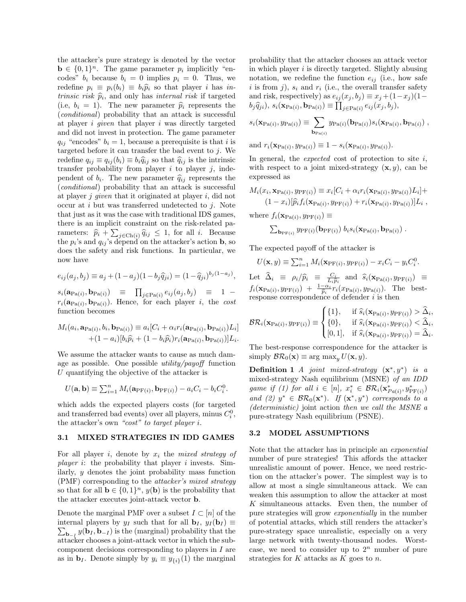the attacker's pure strategy is denoted by the vector  $\mathbf{b} \in \{0,1\}^n$ . The game parameter  $p_i$  implicitly "encodes"  $b_i$  because  $b_i = 0$  implies  $p_i = 0$ . Thus, we redefine  $p_i \equiv p_i(b_i) \equiv b_i \hat{p}_i$  so that player i has intrinsic risk  $\hat{p}_i$ , and only has internal risk if targeted<br>(i.e.  $b_i = 1$ ). The new parameter  $\hat{p}_i$  represents the (i.e,  $b_i = 1$ ). The new parameter  $\hat{p}_i$  represents the (conditional) probability that an attack is successful at player i given that player i was directly targeted and did not invest in protection. The game parameter  $q_{ij}$  "encodes"  $b_i = 1$ , because a prerequisite is that i is targeted before it can transfer the bad event to  $j$ . We redefine  $q_{ij} \equiv q_{ij}(b_i) \equiv b_i \hat{q}_{ij}$  so that  $\hat{q}_{ij}$  is the intrinsic transfer probability from player  $i$  to player  $j$ , independent of  $b_i$ . The new parameter  $\hat{q}_{ij}$  represents the conditional probability that an attack is successful. (conditional) probability that an attack is successful at player  $j$  given that it originated at player  $i$ , did not occur at  $i$  but was transferred undetected to  $j$ . Note that just as it was the case with traditional IDS games, there is an implicit constraint on the risk-related parameters:  $\hat{p}_i + \sum_{j \in \text{Chi}(i)} \hat{q}_{ij} \leq 1$ , for all *i*. Because<br>the n's and a is depend on the attacker's action **b**, so the  $p_i$ 's and  $q_{ij}$ 's depend on the attacker's action **b**, so does the safety and risk functions. In particular, we now have

$$
e_{ij}(a_j, b_j) \equiv a_j + (1 - a_j)(1 - b_j \hat{q}_{ji}) = (1 - \hat{q}_{ji})^{b_j(1 - a_j)},
$$

 $s_i(\mathbf{a}_{\text{Pa}(i)}, \mathbf{b}_{\text{Pa}(i)}) \equiv \prod_{j \in \text{Pa}(i)} e_{ij}(a_j, b_j) \equiv 1$  $r_i(\mathbf{a}_{Pa(i)}, \mathbf{b}_{Pa(i)})$ . Hence, for each player i, the cost function becomes

$$
M_i(a_i, \mathbf{a}_{\text{Pa}(i)}, b_i, \mathbf{b}_{\text{Pa}(i)}) \equiv a_i [C_i + \alpha_i r_i (\mathbf{a}_{\text{Pa}(i)}, \mathbf{b}_{\text{Pa}(i)}) L_i]
$$
  
+ (1 - a\_i) [b\_i \hat{p}\_i + (1 - b\_i \hat{p}\_i) r\_i (\mathbf{a}\_{\text{Pa}(i)}, \mathbf{b}\_{\text{Pa}(i)})] L\_i.

We assume the attacker wants to cause as much damage as possible. One possible *utility/payoff* function U quantifying the objective of the attacker is

$$
U(\mathbf{a}, \mathbf{b}) \equiv \sum_{i=1}^{n} M_i(\mathbf{a}_{\text{PF}(i)}, \mathbf{b}_{\text{PF}(i)}) - a_i C_i - b_i C_i^0.
$$

which adds the expected players costs (for targeted and transferred bad events) over all players, minus  $C_i^0$ , the attacker's own "cost" to target player i.

#### 3.1 MIXED STRATEGIES IN IDD GAMES

For all player i, denote by  $x_i$  the mixed strategy of *player i*: the probability that player *i* invests. Similarly, y denotes the joint probability mass function (PMF) corresponding to the attacker's mixed strategy so that for all  $\mathbf{b} \in \{0,1\}^n$ ,  $y(\mathbf{b})$  is the probability that the attacker executes joint-attack vector b.

Denote the marginal PMF over a subset  $I \subset [n]$  of the internal players by  $y_I$  such that for all  $\mathbf{b}_I$ ,  $y_I(\mathbf{b}_I) \equiv$  $\sum_{\mathbf{b}_{-I}} y(\mathbf{b}_I, \mathbf{b}_{-I})$  is the (marginal) probability that the attacker chooses a joint-attack vector in which the subcomponent decisions corresponding to players in I are as in  $\mathbf{b}_I$ . Denote simply by  $y_i \equiv y_{\{i\}}(1)$  the marginal probability that the attacker chooses an attack vector in which player  $i$  is directly targeted. Slightly abusing notation, we redefine the function  $e_{ij}$  (i.e., how safe i is from j),  $s_i$  and  $r_i$  (i.e., the overall transfer safety and risk, respectively) as  $e_{ij}(x_j, b_j) \equiv x_j + (1-x_j)(1-\varepsilon)$  $b_j \widehat{q}_{ji}$ ),  $s_i(\mathbf{x}_{Pa(i)}, \mathbf{b}_{Pa(i)}) \equiv \prod_{j \in Pa(i)} e_{ij}(x_j, b_j)$ ,

$$
s_i(\mathbf{x}_{\text{Pa}(i)}, y_{\text{Pa}(i)}) \equiv \sum_{\mathbf{b}_{\text{Pa}(i)}} y_{\text{Pa}(i)}(\mathbf{b}_{\text{Pa}(i)}) s_i(\mathbf{x}_{\text{Pa}(i)}, \mathbf{b}_{\text{Pa}(i)}) ,
$$

and  $r_i(\mathbf{x}_{Pa(i)}, y_{Pa(i)}) \equiv 1 - s_i(\mathbf{x}_{Pa(i)}, y_{Pa(i)})$ .

In general, the *expected* cost of protection to site  $i$ , with respect to a joint mixed-strategy  $(x, y)$ , can be expressed as

$$
M_i(x_i, \mathbf{x}_{\text{Pa}(i)}, y_{\text{PF}(i)}) \equiv x_i[C_i + \alpha_i r_i(\mathbf{x}_{\text{Pa}(i)}, y_{\text{Pa}(i)})L_i] + (1 - x_i)[\hat{p}_i f_i(\mathbf{x}_{\text{Pa}(i)}, y_{\text{PF}(i)}) + r_i(\mathbf{x}_{\text{Pa}(i)}, y_{\text{Pa}(i)})]L_i,
$$

where  $f_i(\mathbf{x}_{\text{Pa}(i)}, y_{\text{PF}(i)}) \equiv$ 

$$
\sum_{\mathbf{b}_{\mathrm{PF}(i)}} y_{\mathrm{PF}(i)}(\mathbf{b}_{\mathrm{PF}(i)}) b_i s_i(\mathbf{x}_{\mathrm{Pa}(i)}, \mathbf{b}_{\mathrm{Pa}(i)}) .
$$

The expected payoff of the attacker is

$$
U(\mathbf{x}, y) \equiv \sum_{i=1}^{n} M_i(\mathbf{x}_{\text{PF}(i)}, y_{\text{PF}(i)}) - x_i C_i - y_i C_i^0.
$$

Let  $\widehat{\Delta}_i \equiv \rho_i / \widehat{p}_i \equiv \frac{C_i}{L_i \widehat{p}_i}$  and  $\widehat{s}_i(\mathbf{x}_{\text{Pa}(i)}, y_{\text{PF}(i)}) \equiv$  $f_i(\mathbf{x}_{Pa(i)}, y_{PF(i)}) + \frac{1-\alpha_i}{\hat{p}_i} r_i(x_{Pa(i)}, y_{Pa(i)})$ . The best-<br>response correspondence of defender *i* is then response correspondence of defender  $i$  is then

$$
\mathcal{BR}_i(\mathbf{x}_{\text{Pa}(i)}, y_{\text{PF}(i)}) \equiv \begin{cases} \{1\}, & \text{if } \widehat{s}_i(\mathbf{x}_{\text{Pa}(i)}, y_{\text{PF}(i)}) > \widehat{\Delta}_i, \\ \{0\}, & \text{if } \widehat{s}_i(\mathbf{x}_{\text{Pa}(i)}, y_{\text{PF}(i)}) < \widehat{\Delta}_i, \\ [0,1], & \text{if } \widehat{s}_i(\mathbf{x}_{\text{Pa}(i)}, y_{\text{PF}(i)}) = \widehat{\Delta}_i. \end{cases}
$$

The best-response correspondence for the attacker is simply  $\mathcal{BR}_0(\mathbf{x}) \equiv \arg \max_u U(\mathbf{x}, y)$ .

**Definition 1** *A* joint mixed-strategy  $(\mathbf{x}^*, y^*)$  is a mixed-strategy Nash equilibrium (MSNE) of an IDD game if (1) for all  $i \in [n]$ ,  $x_i^* \in \mathcal{BR}_i(\mathbf{x}_{Pa(i)}^*, y_{PF(i)}^*)$ and (2)  $y^* \in BR_0(\mathbf{x}^*)$ . If  $(\mathbf{x}^*, y^*)$  corresponds to a (deterministic) joint action then we call the MSNE a pure-strategy Nash equilibrium (PSNE).

#### 3.2 MODEL ASSUMPTIONS

Note that the attacker has in principle an exponential number of pure strategies! This affords the attacker unrealistic amount of power. Hence, we need restriction on the attacker's power. The simplest way is to allow at most a single simultaneous attack. We can weaken this assumption to allow the attacker at most K simultaneous attacks. Even then, the number of pure strategies will grow exponentially in the number of potential attacks, which still renders the attacker's pure-strategy space unrealistic, especially on a very large network with twenty-thousand nodes. Worstcase, we need to consider up to  $2^n$  number of pure strategies for  $K$  attacks as  $K$  goes to  $n$ .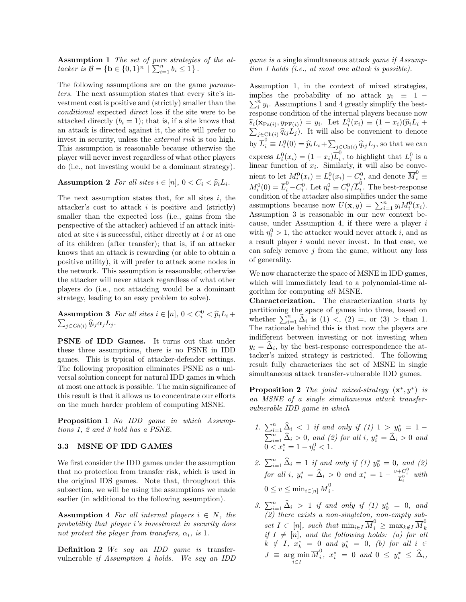Assumption 1 The set of pure strategies of the attacker is  $\mathcal{B} = \{ \mathbf{b} \in \{0,1\}^n \mid \sum_{i=1}^n b_i \leq 1 \}.$ 

The following assumptions are on the game parameters. The next assumption states that every site's investment cost is positive and (strictly) smaller than the conditional expected direct loss if the site were to be attacked directly  $(b_i = 1)$ ; that is, if a site knows that an attack is directed against it, the site will prefer to invest in security, unless the *external risk* is too high. This assumption is reasonable because otherwise the player will never invest regardless of what other players do (i.e., not investing would be a dominant strategy).

# Assumption 2 For all sites  $i \in [n]$ ,  $0 < C_i < \hat{p}_i L_i$ .

The next assumption states that, for all sites  $i$ , the attacker's cost to attack  $i$  is positive and (strictly) smaller than the expected loss (i.e., gains from the perspective of the attacker) achieved if an attack initiated at site  $i$  is successful, either directly at  $i$  or at one of its children (after transfer); that is, if an attacker knows that an attack is rewarding (or able to obtain a positive utility), it will prefer to attack some nodes in the network. This assumption is reasonable; otherwise the attacker will never attack regardless of what other players do (i.e., not attacking would be a dominant strategy, leading to an easy problem to solve).

**Assumption 3** For all sites  $i \in [n]$ ,  $0 < C_i^0 < \widehat{p}_i L_i + \sum_{i=1}^{\infty} \widehat{p}_i^0 C_i$  $\sum_{j \in Ch(i)} \widehat{q}_{ij} \alpha_j L_j.$ 

PSNE of IDD Games. It turns out that under these three assumptions, there is no PSNE in IDD games. This is typical of attacker-defender settings. The following proposition eliminates PSNE as a universal solution concept for natural IDD games in which at most one attack is possible. The main significance of this result is that it allows us to concentrate our efforts on the much harder problem of computing MSNE.

Proposition 1 No IDD game in which Assumptions 1, 2 and 3 hold has a PSNE.

### 3.3 MSNE OF IDD GAMES

We first consider the IDD games under the assumption that no protection from transfer risk, which is used in the original IDS games. Note that, throughout this subsection, we will be using the assumptions we made earlier (in additional to the following assumption).

Assumption 4 For all internal players  $i \in N$ , the probability that player i's investment in security does not protect the player from transfers,  $\alpha_i$ , is 1.

Definition 2 We say an IDD game is transfervulnerable if Assumption 4 holds. We say an IDD game is a single simultaneous attack game if Assumption 1 holds (i.e., at most one attack is possible).

Assumption 1, in the context of mixed strategies, implies the probability of no attack  $y_0 \equiv 1 \sum_{i=1}^{n} y_i$ . Assumptions 1 and 4 greatly simplify the bestresponse condition of the internal players because now  $\widehat{s}_i(\mathbf{x}_{\text{Pa}(i)}, y_{\text{PF}(i)}) = y_i$ . Let  $L_i^0(x_i) \equiv (1 - x_i)(\widehat{p}_i L_i + \sum_{i=1}^n \widehat{p}_i L_i)$  $\sum_{j \in \text{Ch}(i)} \hat{q}_{ij} L_j$ ). It will also be convenient to denote by  $\overline{L}_i^0 \equiv L_i^0(0) = \widehat{p}_i L_i + \sum_{j \in \text{Ch}(i)} \widehat{q}_{ij} L_j$ , so that we can express  $L_i^0(x_i) = (1 - x_i)\overline{L}_i^0$  $\iota_i^0$ , to highlight that  $L_i^0$  is a linear function of  $x_i$ . Similarly, it will also be convenient to let  $M_i^0(x_i) \equiv L_i^0(x_i) - C_i^0$ , and denote  $\overline{M}_i^0 \equiv$  $M_i^0(0) = \overline{L}_i^0 - C_i^0$ . Let  $\eta_i^0 \equiv C_i^0 / \overline{L}_i^0$  $\int_{i}^{\infty}$ . The best-response condition of the attacker also simplifies under the same assumptions because now  $U(\mathbf{x}, y) = \sum_{i=1}^{n} y_i M_i^0(x_i)$ . Assumption 3 is reasonable in our new context because, under Assumption 4, if there were a player  $i$ with  $\eta_i^0 > 1$ , the attacker would never attack *i*, and as a result player i would never invest. In that case, we can safely remove  $j$  from the game, without any loss of generality.

We now characterize the space of MSNE in IDD games, which will immediately lead to a polynomial-time algorithm for computing all MSNE.

Characterization. The characterization starts by partitioning the space of games into three, based on whether  $\sum_{i=1}^{n} \hat{\Delta}_i$  is (1) <, (2) =, or (3) > than 1. The rationale behind this is that now the players are indifferent between investing or not investing when  $y_i = \Delta_i$ , by the best-response correspondence the attacker's mixed strategy is restricted. The following result fully characterizes the set of MSNE in single simultaneous attack transfer-vulnerable IDD games.

**Proposition 2** The joint mixed-strategy  $(\mathbf{x}^*, y^*)$  is an MSNE of a single simultaneous attack transfervulnerable IDD game in which

- 1.  $\sum_{i=1}^{n} \hat{\Delta}_i$  < 1 if and only if (1) 1 >  $y_0^* = 1 \sum_{i=1}^{n} \hat{\Delta}_i > 0$ , and (2) for all i,  $y_i^* = \hat{\Delta}_i > 0$  and  $0 < x_i^* = 1 - \eta_i^0 < 1$ .
- 2.  $\sum_{i=1}^{n} \hat{\Delta}_i = 1$  if and only if (1)  $y_0^* = 0$ , and (2) for all i,  $y_i^* = \hat{\Delta}_i > 0$  and  $x_i^* = 1 - \frac{v + C_i^0}{\overline{L}_i^0}$  with  $0 \leq v \leq \min_{i \in [n]} \overline{M}_{i}^{0}$  $\frac{0}{i}$ .
- 3.  $\sum_{i=1}^n \hat{\Delta}_i > 1$  if and only if (1)  $y_0^* = 0$ , and (2) there exists a non-singleton, non-empty subset  $I \subset [n]$ , such that  $\min_{i \in I} \overline{M}_i^0 \geq \max_{k \notin I} \overline{M}_k^0$ k if  $I \neq [n]$ , and the following holds: (a) for all  $k \notin I$ ,  $x_k^* = 0$  and  $y_k^* = 0$ , (b) for all  $i \in$  $J \equiv \argmin_{i \in I} \overline{M}_i^0$  $\sum_{i}^{0}$ ,  $x_{i}^{*} = 0$  and  $0 \leq y_{i}^{*} \leq \hat{\Delta}_{i}$ ,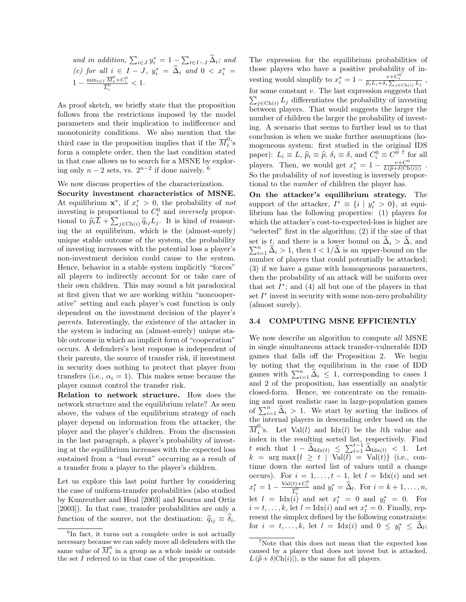and in addition,  $\sum_{i \in J} y_i^* = 1 - \sum_{t \in I-J} \hat{\Delta}_i$ ; and (c) for all  $i \in I - J$ ,  $y_i^* = \hat{\Delta}_i$  and  $0 < x_i^* =$  $1 - \frac{\min_{t \in I} \overline{M}_t^0 + C_i^0}{\overline{L}_i^0} < 1.$ 

As proof sketch, we briefly state that the proposition follows from the restrictions imposed by the model parameters and their implication to indifference and monotonicity conditions. We also mention that the third case in the proposition implies that if the  $\overline{M}_l^0$  $\mathbf{a}^{\prime}$ 's form a complete order, then the last condition stated in that case allows us to search for a MSNE by exploring only  $n-2$  sets, vs.  $2^{n-2}$  if done naively. <sup>6</sup>

We now discuss properties of the characterization.

Security investment characteristics of MSNE. At equilibrium  $\mathbf{x}^*$ , if  $x_i^* > 0$ , the probability of not investing is proportional to  $C_i^0$  and *inversely* proportional to  $\hat{p}_i \overline{L} + \sum_{j \in \text{Chi}(i)} \hat{q}_{ij} L_j$ . It is kind of reassuring the at equilibrium, which is the (almost-surely) unique stable outcome of the system, the probability of investing increases with the potential loss a player's non-investment decision could cause to the system. Hence, behavior in a stable system implicitly "forces" all players to indirectly account for or take care of their own children. This may sound a bit paradoxical at first given that we are working within "noncooperative" setting and each player's cost function is only dependent on the investment decision of the player's parents. Interestingly, the existence of the attacker in the system is inducing an (almost-surely) unique stable outcome in which an implicit form of "cooperation" occurs. A defenders's best response is independent of their parents, the source of transfer risk, if investment in security does nothing to protect that player from transfers (i.e.,  $\alpha_i = 1$ ). This makes sense because the player cannot control the transfer risk.

Relation to network structure. How does the network structure and the equilibrium relate? As seen above, the values of the equilibrium strategy of each player depend on information from the attacker, the player and the player's children. From the discussion in the last paragraph, a player's probability of investing at the equilibrium increases with the expected loss sustained from a "bad event" occurring as a result of a transfer from a player to the player's children.

Let us explore this last point further by considering the case of uniform-transfer probabilities (also studied by Kunreuther and Heal [2003] and Kearns and Ortiz [2003]). In that case, transfer probabilities are only a function of the source, not the destination:  $\hat{q}_{ij} \equiv \delta_i$ .

The expression for the equilibrium probabilities of those players who have a positive probability of investing would simplify to  $x_i^* = 1 - \frac{v + C_i^0}{\hat{p}_i L_i + \delta_i \sum_{j \in \text{Chi}(i)} L_j},$ for some constant  $v$ . The last expression suggests that  $\sum_{j \in \text{Ch}(i)} L_j$  differentiates the probability of investing between players. That would suggests the larger the number of children the larger the probability of investing. A scenario that seems to further lead us to that conclusion is when we make further assumptions (homogeneous system: first studied in the original IDS paper):  $L_i \equiv L$ ,  $\hat{p}_i \equiv \hat{p}$ ,  $\delta_i \equiv \delta$ , and  $C_i^0 \equiv C_0^{0.7}$  for all players. Then, we would get  $x_i^* = 1 - \frac{v + C^0}{L(\hat{p} + \delta)Ch}$  $\frac{v+C^{\circ}}{L(\widehat{p}+\delta|Ch(i)|)}$ . So the probability of *not* investing is inversely proportional to the number of children the player has.

On the attacker's equilibrium strategy. The support of the attacker,  $I^* \equiv \{i \mid y_i^* > 0\}$ , at equilibrium has the following properties: (1) players for which the attacker's cost-to-expected-loss is higher are "selected" first in the algorithm; (2) if the size of that set is t, and there is a lower bound on  $\Delta_i > \Delta$ , and  $\sum_{i=1}^n \widehat{\Delta}_i > 1$ , then  $t < 1/\widehat{\Delta}$  is an upper-bound on the number of players that could potentially be attacked; (3) if we have a game with homogeneous parameters, then the probability of an attack will be uniform over that set  $I^*$ ; and  $(4)$  all but one of the players in that set  $I^*$  invest in security with some non-zero probability (almost surely).

### 3.4 COMPUTING MSNE EFFICIENTLY

We now describe an algorithm to compute all MSNE in single simultaneous attack transfer-vulnerable IDD games that falls off the Proposition 2. We begin by noting that the equilibrium in the case of IDD games with  $\sum_{i=1}^{n} \hat{\Delta}_i \leq 1$ , corresponding to cases 1 and 2 of the proposition, has essentially an analytic closed-form. Hence, we concentrate on the remaining and most realistic case in large-population games of  $\sum_{i=1}^{n} \hat{\Delta}_i > 1$ . We start by sorting the indices of the internal players in descending order based on the  $\overline{M}^0_i$  $i$ 's. Let Val(l) and Idx(l) be the lth value and index in the resulting sorted list, respectively. Find t such that  $1 - \widehat{\Delta}_{\mathrm{Idx}(t)} \leq \sum_{l=1}^{t-1} \widehat{\Delta}_{\mathrm{Idx}(l)} < 1$ . Let  $k = \arg \max \{l \geq t \mid \text{Val}(l) = \text{Val}(t) \}$  (i.e., continue down the sorted list of values until a change occurs). For  $i = 1, \ldots, t - 1$ , let  $l = \text{Idx}(i)$  and set  $x_l^* = 1 - \frac{\text{Val}(t) + C_l^0}{\overline{L}_l^0}$  and  $y_l^* = \widehat{\Delta}_l$ . For  $i = k + 1, \ldots, n$ , let  $l = \text{Idx}(i)$  and set  $x_l^* = 0$  and  $y_l^* = 0$ . For  $i = t, \ldots, k$ , let  $l = \text{Idx}(i)$  and set  $x_l^* = 0$ . Finally, represent the simplex defined by the following constraints: for  $i = t, ..., k$ , let  $l = \text{Idx}(i)$  and  $0 \le y_l^* \le \hat{\Delta}_l$ ;

<sup>6</sup> In fact, it turns out a complete order is not actually necessary because we can safely move all defenders with the same value of  $\overline{M}_i^0$  in a group as a whole inside or outside the set I referred to in that case of the proposition.

<sup>&</sup>lt;sup>7</sup>Note that this does not mean that the expected loss caused by a player that does not invest but is attacked,  $L(\hat{p}+\delta|Ch(i)|)$ , is the same for all players.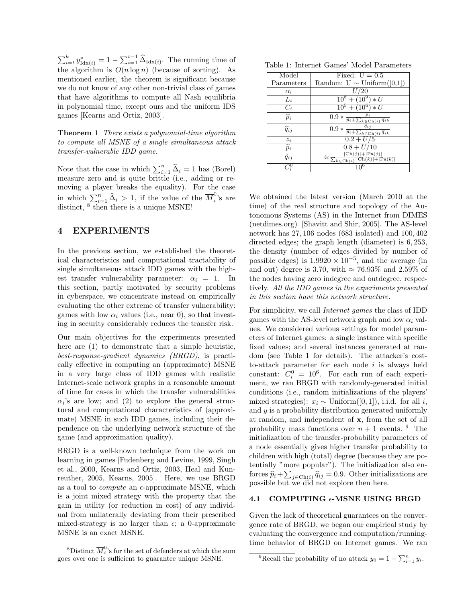$\sum_{i=t}^{k} y_{\text{Idx}(i)}^{*} = 1 - \sum_{i=1}^{t-1} \widehat{\Delta}_{\text{Idx}(i)}$ . The running time of the algorithm is  $O(n \log n)$  (because of sorting). As mentioned earlier, the theorem is significant because we do not know of any other non-trivial class of games that have algorithms to compute all Nash equilibria in polynomial time, except ours and the uniform IDS games [Kearns and Ortiz, 2003].

Theorem 1 There exists a polynomial-time algorithm to compute all MSNE of a single simultaneous attack transfer-vulnerable IDD game.

Note that the case in which  $\sum_{i=1}^{n} \hat{\Delta}_i = 1$  has (Borel) measure zero and is quite brittle (i.e., adding or removing a player breaks the equality). For the case in which  $\sum_{i=1}^{n} \hat{\Delta}_i > 1$ , if the value of the  $\overline{M}_i^0$  $i$ 's are distinct,  $8$  then there is a unique MSNE!

# 4 EXPERIMENTS

In the previous section, we established the theoretical characteristics and computational tractability of single simultaneous attack IDD games with the highest transfer vulnerability parameter:  $\alpha_i = 1$ . In this section, partly motivated by security problems in cyberspace, we concentrate instead on empirically evaluating the other extreme of transfer vulnerability: games with low  $\alpha_i$  values (i.e., near 0), so that investing in security considerably reduces the transfer risk.

Our main objectives for the experiments presented here are (1) to demonstrate that a simple heuristic, best-response-gradient dynamics (BRGD), is practically effective in computing an (approximate) MSNE in a very large class of IDD games with realistic Internet-scale network graphs in a reasonable amount of time for cases in which the transfer vulnerabilities  $\alpha_i$ 's are low; and (2) to explore the general structural and computational characteristics of (approximate) MSNE in such IDD games, including their dependence on the underlying network structure of the game (and approximation quality).

BRGD is a well-known technique from the work on learning in games [Fudenberg and Levine, 1999, Singh et al., 2000, Kearns and Ortiz, 2003, Heal and Kunreuther, 2005, Kearns, 2005]. Here, we use BRGD as a tool to *compute* an  $\epsilon$ -approximate MSNE, which is a joint mixed strategy with the property that the gain in utility (or reduction in cost) of any individual from unilaterally deviating from their prescribed mixed-strategy is no larger than  $\epsilon$ ; a 0-approximate MSNE is an exact MSNE.

|  |  | Table 1: Internet Games' Model Parameters |
|--|--|-------------------------------------------|
|  |  |                                           |

| Model                          | Fixed: $U = 0.5$                                                                             |
|--------------------------------|----------------------------------------------------------------------------------------------|
| Parameters                     | Random: $U \sim \text{Uniform}([0,1])$                                                       |
| $\alpha_i$                     | U/20                                                                                         |
| $L_i$                          | $10^8 + (10^9) * U$                                                                          |
| $C_i$                          | $\overline{10^5 + (10^6) * U}$                                                               |
| $\widehat{p}_i$                | $\overline{0.9 * \frac{\nu_i}{\tilde{p}_i + \sum_{k \in \mathrm{Ch}(i)} \tilde{q}_{ik}}}$    |
| $\widehat{q}_{ij}$             | $\tilde{q}_{i j}$<br>$0.9 * \frac{1}{\tilde{p}_i + \sum_{k \in Ch(i)} \tilde{q}_{ik}}$       |
| $z_i$                          | $\overline{0.2+U/5}$                                                                         |
| $\overline{\widetilde{p}_{i}}$ | $0.8 + U/10$                                                                                 |
| $\widetilde{q}_{ij}$           | $Ch(j) + Pa(j)$<br>$z_i \frac{1}{\sum_{k \in \text{Ch}(i)}  \text{Ch}(k)  +  \text{Pa}(k) }$ |
|                                |                                                                                              |

We obtained the latest version (March 2010 at the time) of the real structure and topology of the Autonomous Systems (AS) in the Internet from DIMES (netdimes.org) [Shavitt and Shir, 2005]. The AS-level network has 27, 106 nodes (683 isolated) and 100, 402 directed edges; the graph length (diameter) is 6, 253, the density (number of edges divided by number of possible edges) is  $1.9920 \times 10^{-5}$ , and the average (in and out) degree is 3.70, with  $\approx 76.93\%$  and 2.59% of the nodes having zero indegree and outdegree, respectively. All the IDD games in the experiments presented in this section have this network structure.

For simplicity, we call Internet games the class of IDD games with the AS-level network graph and low  $\alpha_i$  values. We considered various settings for model parameters of Internet games: a single instance with specific fixed values; and several instances generated at random (see Table 1 for details). The attacker's costto-attack parameter for each node  $i$  is always held constant:  $C_i^0 = 10^6$ . For each run of each experiment, we ran BRGD with randomly-generated initial conditions (i.e., random initializations of the players' mixed strategies):  $x_i \sim$  Uniform([0, 1]), i.i.d. for all i, and  $y$  is a probability distribution generated uniformly at random, and independent of x, from the set of all probability mass functions over  $n + 1$  events. <sup>9</sup> The initialization of the transfer-probability parameters of a node essentially gives higher transfer probability to children with high (total) degree (because they are potentially "more popular"). The initialization also enforces  $\hat{p}_i + \sum_{j \in \text{Ch}(i)} \hat{q}_{ij} = 0.9$ . Other initializations are possible but we did not explore then here.

### 4.1 COMPUTING  $\epsilon$ -MSNE USING BRGD

Given the lack of theoretical guarantees on the convergence rate of BRGD, we began our empirical study by evaluating the convergence and computation/runningtime behavior of BRGD on Internet games. We ran

<sup>&</sup>lt;sup>8</sup>Distinct  $\overline{M}_i^0$ 's for the set of defenders at which the sum goes over one is sufficient to guarantee unique MSNE.

<sup>&</sup>lt;sup>9</sup>Recall the probability of no attack  $y_0 = 1 - \sum_{i=1}^n y_i$ .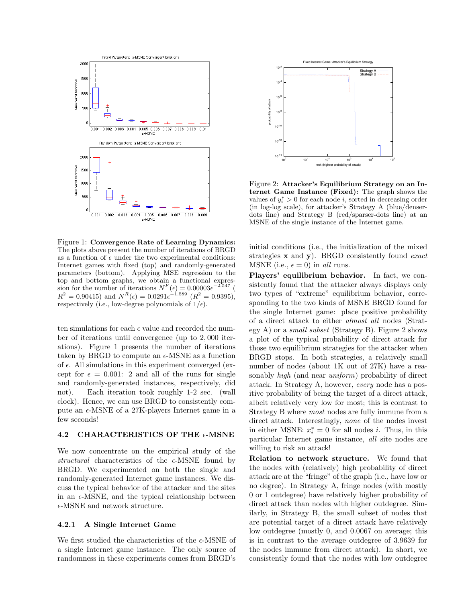

Figure 1: Convergence Rate of Learning Dynamics: The plots above present the number of iterations of BRGD as a function of  $\epsilon$  under the two experimental conditions: Internet games with fixed (top) and randomly-generated parameters (bottom). Applying MSE regression to the top and bottom graphs, we obtain a functional expression for the number of iterations  $N^F(\epsilon) = 0.00003\epsilon^{-2.547}$  (  $R^2 = 0.90415$ ) and  $N^R(\epsilon) = 0.0291\epsilon^{-1.589}$  ( $R^2 = 0.9395$ ), respectively (i.e., low-degree polynomials of  $1/\epsilon$ ).

ten simulations for each  $\epsilon$  value and recorded the number of iterations until convergence (up to 2, 000 iterations). Figure 1 presents the number of iterations taken by BRGD to compute an  $\epsilon$ -MSNE as a function of  $\epsilon$ . All simulations in this experiment converged (except for  $\epsilon = 0.001$ : 2 and all of the runs for single and randomly-generated instances, respectively, did not). Each iteration took roughly 1-2 sec. (wall clock). Hence, we can use BRGD to consistently compute an  $\epsilon$ -MSNE of a 27K-players Internet game in a few seconds!

### 4.2 CHARACTERISTICS OF THE  $\epsilon$ -MSNE

We now concentrate on the empirical study of the structural characteristics of the  $\epsilon$ -MSNE found by BRGD. We experimented on both the single and randomly-generated Internet game instances. We discuss the typical behavior of the attacker and the sites in an  $\epsilon$ -MSNE, and the typical relationship between  $\epsilon\textsc{-MSNE}$  and network structure.

#### 4.2.1 A Single Internet Game

We first studied the characteristics of the  $\epsilon$ -MSNE of a single Internet game instance. The only source of randomness in these experiments comes from BRGD's



Figure 2: Attacker's Equilibrium Strategy on an Internet Game Instance (Fixed): The graph shows the values of  $y_i^* > 0$  for each node *i*, sorted in decreasing order (in log-log scale), for attacker's Strategy A (blue/denserdots line) and Strategy B (red/sparser-dots line) at an MSNE of the single instance of the Internet game.

initial conditions (i.e., the initialization of the mixed strategies  $\bf{x}$  and  $\bf{v}$ ). BRGD consistently found exact MSNE (i.e.,  $\epsilon = 0$ ) in all runs.

Players' equilibrium behavior. In fact, we consistently found that the attacker always displays only two types of "extreme" equilibrium behavior, corresponding to the two kinds of MSNE BRGD found for the single Internet game: place positive probability of a direct attack to either almost all nodes (Strategy A) or a small subset (Strategy B). Figure 2 shows a plot of the typical probability of direct attack for those two equilibrium strategies for the attacker when BRGD stops. In both strategies, a relatively small number of nodes (about 1K out of 27K) have a reasonably *high* (and near *uniform*) probability of direct attack. In Strategy A, however, every node has a positive probability of being the target of a direct attack, albeit relatively very low for most; this is contrast to Strategy B where most nodes are fully immune from a direct attack. Interestingly, none of the nodes invest in either MSNE:  $x_i^* = 0$  for all nodes *i*. Thus, in this particular Internet game instance, all site nodes are willing to risk an attack!

Relation to network structure. We found that the nodes with (relatively) high probability of direct attack are at the "fringe" of the graph (i.e., have low or no degree). In Strategy A, fringe nodes (with mostly 0 or 1 outdegree) have relatively higher probability of direct attack than nodes with higher outdegree. Similarly, in Strategy B, the small subset of nodes that are potential target of a direct attack have relatively low outdegree (mostly 0, and 0.0067 on average; this is in contrast to the average outdegree of 3.9639 for the nodes immune from direct attack). In short, we consistently found that the nodes with low outdegree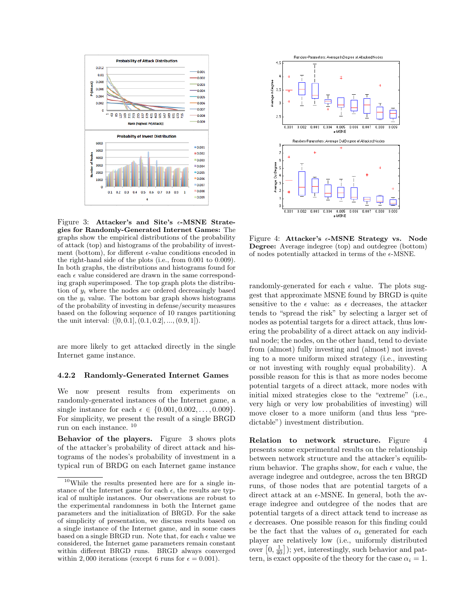

Figure 3: Attacker's and Site's  $\epsilon$ -MSNE Strategies for Randomly-Generated Internet Games: The graphs show the empirical distributions of the probability of attack (top) and histograms of the probability of investment (bottom), for different  $\epsilon$ -value conditions encoded in the right-hand side of the plots (i.e., from 0.001 to 0.009). In both graphs, the distributions and histograms found for each  $\epsilon$  value considered are drawn in the same corresponding graph superimposed. The top graph plots the distribution of  $y_i$  where the nodes are ordered decreasingly based on the  $y_i$  value. The bottom bar graph shows histograms of the probability of investing in defense/security measures based on the following sequence of 10 ranges partitioning the unit interval:  $([0, 0.1], (0.1, 0.2], ..., (0.9, 1]).$ 

are more likely to get attacked directly in the single Internet game instance.

#### 4.2.2 Randomly-Generated Internet Games

We now present results from experiments on randomly-generated instances of the Internet game, a single instance for each  $\epsilon \in \{0.001, 0.002, ..., 0.009\}.$ For simplicity, we present the result of a single BRGD run on each instance. <sup>10</sup>

Behavior of the players. Figure 3 shows plots of the attacker's probability of direct attack and histograms of the nodes's probability of investment in a typical run of BRDG on each Internet game instance



Figure 4: Attacker's  $\epsilon$ -MSNE Strategy vs. Node Degree: Average indegree (top) and outdegree (bottom) of nodes potentially attacked in terms of the  $\epsilon$ -MSNE.

randomly-generated for each  $\epsilon$  value. The plots suggest that approximate MSNE found by BRGD is quite sensitive to the  $\epsilon$  value: as  $\epsilon$  decreases, the attacker tends to "spread the risk" by selecting a larger set of nodes as potential targets for a direct attack, thus lowering the probability of a direct attack on any individual node; the nodes, on the other hand, tend to deviate from (almost) fully investing and (almost) not investing to a more uniform mixed strategy (i.e., investing or not investing with roughly equal probability). A possible reason for this is that as more nodes become potential targets of a direct attack, more nodes with initial mixed strategies close to the "extreme" (i.e., very high or very low probabilities of investing) will move closer to a more uniform (and thus less "predictable") investment distribution.

Relation to network structure. Figure 4 presents some experimental results on the relationship between network structure and the attacker's equilibrium behavior. The graphs show, for each  $\epsilon$  value, the average indegree and outdegree, across the ten BRGD runs, of those nodes that are potential targets of a direct attack at an  $\epsilon$ -MSNE. In general, both the average indegree and outdegree of the nodes that are potential targets of a direct attack tend to increase as  $\epsilon$  decreases. One possible reason for this finding could be the fact that the values of  $\alpha_i$  generated for each player are relatively low (i.e., uniformly distributed over  $[0, \frac{1}{40}]$ ); yet, interestingly, such behavior and pattern, is exact opposite of the theory for the case  $\alpha_i = 1$ .

<sup>10</sup>While the results presented here are for a single instance of the Internet game for each  $\epsilon$ , the results are typical of multiple instances. Our observations are robust to the experimental randomness in both the Internet game parameters and the initialization of BRGD. For the sake of simplicity of presentation, we discuss results based on a single instance of the Internet game, and in some cases based on a single BRGD run. Note that, for each  $\epsilon$  value we considered, the Internet game parameters remain constant within different BRGD runs. BRGD always converged within 2,000 iterations (except 6 runs for  $\epsilon = 0.001$ ).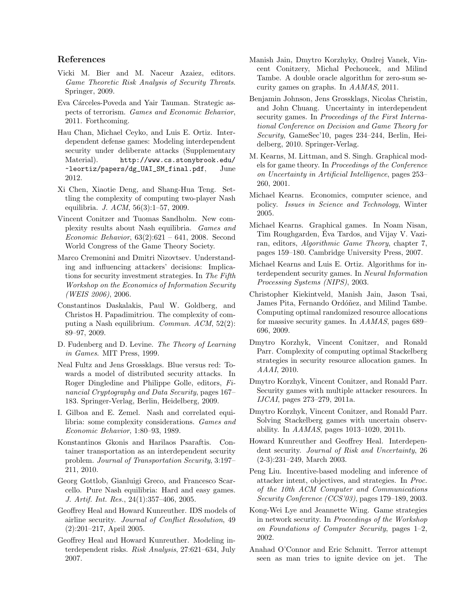# References

- Vicki M. Bier and M. Naceur Azaiez, editors. Game Theoretic Risk Analysis of Security Threats. Springer, 2009.
- Eva Cárceles-Poveda and Yair Tauman. Strategic aspects of terrorism. Games and Economic Behavior, 2011. Forthcoming.
- Hau Chan, Michael Ceyko, and Luis E. Ortiz. Interdependent defense games: Modeling interdependent security under deliberate attacks (Supplementary Material). http://www.cs.stonybrook.edu/ ~leortiz/papers/dg\_UAI\_SM\_final.pdf, June 2012.
- Xi Chen, Xiaotie Deng, and Shang-Hua Teng. Settling the complexity of computing two-player Nash equilibria. J. ACM, 56(3):1–57, 2009.
- Vincent Conitzer and Tuomas Sandholm. New complexity results about Nash equilibria. Games and Economic Behavior, 63(2):621 – 641, 2008. Second World Congress of the Game Theory Society.
- Marco Cremonini and Dmitri Nizovtsev. Understanding and influencing attackers' decisions: Implications for security investment strategies. In The Fifth Workshop on the Economics of Information Security (WEIS 2006), 2006.
- Constantinos Daskalakis, Paul W. Goldberg, and Christos H. Papadimitriou. The complexity of computing a Nash equilibrium. Commun. ACM, 52(2): 89–97, 2009.
- D. Fudenberg and D. Levine. The Theory of Learning in Games. MIT Press, 1999.
- Neal Fultz and Jens Grossklags. Blue versus red: Towards a model of distributed security attacks. In Roger Dingledine and Philippe Golle, editors, Financial Cryptography and Data Security, pages 167– 183. Springer-Verlag, Berlin, Heidelberg, 2009.
- I. Gilboa and E. Zemel. Nash and correlated equilibria: some complexity considerations. Games and Economic Behavior, 1:80–93, 1989.
- Konstantinos Gkonis and Harilaos Psaraftis. Container transportation as an interdependent security problem. Journal of Transportation Security, 3:197– 211, 2010.
- Georg Gottlob, Gianluigi Greco, and Francesco Scarcello. Pure Nash equilibria: Hard and easy games. J. Artif. Int. Res., 24(1):357–406, 2005.
- Geoffrey Heal and Howard Kunreuther. IDS models of airline security. Journal of Conflict Resolution, 49 (2):201–217, April 2005.
- Geoffrey Heal and Howard Kunreuther. Modeling interdependent risks. Risk Analysis, 27:621–634, July 2007.
- Manish Jain, Dmytro Korzhyky, Ondrej Vanek, Vincent Conitzery, Michal Pechoucek, and Milind Tambe. A double oracle algorithm for zero-sum security games on graphs. In AAMAS, 2011.
- Benjamin Johnson, Jens Grossklags, Nicolas Christin, and John Chuang. Uncertainty in interdependent security games. In Proceedings of the First International Conference on Decision and Game Theory for Security, GameSec'10, pages 234–244, Berlin, Heidelberg, 2010. Springer-Verlag.
- M. Kearns, M. Littman, and S. Singh. Graphical models for game theory. In Proceedings of the Conference on Uncertainty in Artificial Intelligence, pages 253– 260, 2001.
- Michael Kearns. Economics, computer science, and policy. Issues in Science and Technology, Winter 2005.
- Michael Kearns. Graphical games. In Noam Nisan, Tim Roughgarden, Eva Tardos, and Vijay V. Vazi- ´ ran, editors, Algorithmic Game Theory, chapter 7, pages 159–180. Cambridge University Press, 2007.
- Michael Kearns and Luis E. Ortiz. Algorithms for interdependent security games. In Neural Information Processing Systems (NIPS), 2003.
- Christopher Kiekintveld, Manish Jain, Jason Tsai, James Pita, Fernando Ordóñez, and Milind Tambe. Computing optimal randomized resource allocations for massive security games. In AAMAS, pages 689– 696, 2009.
- Dmytro Korzhyk, Vincent Conitzer, and Ronald Parr. Complexity of computing optimal Stackelberg strategies in security resource allocation games. In AAAI, 2010.
- Dmytro Korzhyk, Vincent Conitzer, and Ronald Parr. Security games with multiple attacker resources. In IJCAI, pages 273–279, 2011a.
- Dmytro Korzhyk, Vincent Conitzer, and Ronald Parr. Solving Stackelberg games with uncertain observability. In AAMAS, pages 1013–1020, 2011b.
- Howard Kunreuther and Geoffrey Heal. Interdependent security. Journal of Risk and Uncertainty, 26 (2-3):231–249, March 2003.
- Peng Liu. Incentive-based modeling and inference of attacker intent, objectives, and strategies. In Proc. of the 10th ACM Computer and Communications Security Conference (CCS'03), pages 179–189, 2003.
- Kong-Wei Lye and Jeannette Wing. Game strategies in network security. In Proceedings of the Workshop on Foundations of Computer Security, pages 1–2, 2002.
- Anahad O'Connor and Eric Schmitt. Terror attempt seen as man tries to ignite device on jet. The